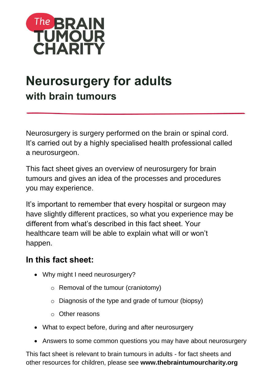

# **Neurosurgery for adults with brain tumours**

Neurosurgery is surgery performed on the brain or spinal cord. It's carried out by a highly specialised health professional called a neurosurgeon.

This fact sheet gives an overview of neurosurgery for brain tumours and gives an idea of the processes and procedures you may experience.

It's important to remember that every hospital or surgeon may have slightly different practices, so what you experience may be different from what's described in this fact sheet. Your healthcare team will be able to explain what will or won't happen.

# **In this fact sheet:**

- Why might I need neurosurgery?
	- o Removal of the tumour (craniotomy)
	- o Diagnosis of the type and grade of tumour (biopsy)
	- o Other reasons
- What to expect before, during and after neurosurgery
- Answers to some common questions you may have about neurosurgery

This fact sheet is relevant to brain tumours in adults - for fact sheets and other resources for children, please see **www.thebraintumourcharity.org**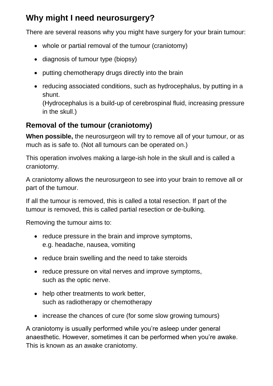# **Why might I need neurosurgery?**

There are several reasons why you might have surgery for your brain tumour:

- whole or partial removal of the tumour (craniotomy)
- diagnosis of tumour type (biopsy)
- putting chemotherapy drugs directly into the brain
- reducing associated conditions, such as hydrocephalus, by putting in a shunt.

(Hydrocephalus is a build-up of cerebrospinal fluid, increasing pressure in the skull.)

# **Removal of the tumour (craniotomy)**

**When possible,** the neurosurgeon will try to remove all of your tumour, or as much as is safe to. (Not all tumours can be operated on.)

This operation involves making a large-ish hole in the skull and is called a craniotomy.

A craniotomy allows the neurosurgeon to see into your brain to remove all or part of the tumour.

If all the tumour is removed, this is called a total resection. If part of the tumour is removed, this is called partial resection or de-bulking.

Removing the tumour aims to:

- reduce pressure in the brain and improve symptoms, e.g. headache, nausea, vomiting
- reduce brain swelling and the need to take steroids
- reduce pressure on vital nerves and improve symptoms, such as the optic nerve.
- help other treatments to work better, such as radiotherapy or chemotherapy
- increase the chances of cure (for some slow growing tumours)

A craniotomy is usually performed while you're asleep under general anaesthetic. However, sometimes it can be performed when you're awake. This is known as an awake craniotomy.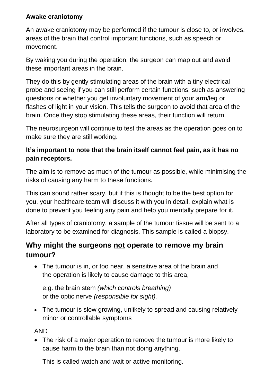#### **Awake craniotomy**

An awake craniotomy may be performed if the tumour is close to, or involves, areas of the brain that control important functions, such as speech or movement.

By waking you during the operation, the surgeon can map out and avoid these important areas in the brain.

They do this by gently stimulating areas of the brain with a tiny electrical probe and seeing if you can still perform certain functions, such as answering questions or whether you get involuntary movement of your arm/leg or flashes of light in your vision. This tells the surgeon to avoid that area of the brain. Once they stop stimulating these areas, their function will return.

The neurosurgeon will continue to test the areas as the operation goes on to make sure they are still working.

### **It's important to note that the brain itself cannot feel pain, as it has no pain receptors.**

The aim is to remove as much of the tumour as possible, while minimising the risks of causing any harm to these functions.

This can sound rather scary, but if this is thought to be the best option for you, your healthcare team will discuss it with you in detail, explain what is done to prevent you feeling any pain and help you mentally prepare for it.

After all types of craniotomy, a sample of the tumour tissue will be sent to a laboratory to be examined for diagnosis. This sample is called a biopsy.

### **Why might the surgeons not operate to remove my brain tumour?**

• The tumour is in, or too near, a sensitive area of the brain and the operation is likely to cause damage to this area,

e.g. the brain stem *(which controls breathing)*  or the optic nerve *(responsible for sight).*

• The tumour is slow growing, unlikely to spread and causing relatively minor or controllable symptoms

AND

• The risk of a major operation to remove the tumour is more likely to cause harm to the brain than not doing anything.

This is called watch and wait or active monitoring.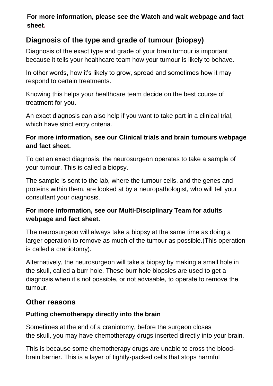### **For more information, please see the [Watch and wait](https://www.thebraintumourcharity.org/understanding-brain-tumours/treating-brain-tumours/adult-treatments/watch-and-wait/) webpage and fact sheet.**

# **Diagnosis of the type and grade of tumour (biopsy)**

Diagnosis of the exact type and grade of your brain tumour is important because it tells your healthcare team how your tumour is likely to behave.

In other words, how it's likely to grow, spread and sometimes how it may respond to certain treatments.

Knowing this helps your healthcare team decide on the best course of treatment for you.

An exact diagnosis can also help if you want to take part in a clinical trial, which have strict entry criteria.

#### **For more information, see our [Clinical trials and brain tumours](https://www.thebraintumourcharity.org/understanding-brain-tumours/clinical-trials/about-clinical-trials/) webpage and fact sheet.**

To get an exact diagnosis, the neurosurgeon operates to take a sample of your tumour. This is called a biopsy.

The sample is sent to the lab, where the tumour cells, and the genes and proteins within them, are looked at by a neuropathologist, who will tell your consultant your diagnosis.

### **For more information, see our [Multi-Disciplinary Team for adults](https://www.thebraintumourcharity.org/understanding-brain-tumours/navigating-the-system/your-health-team-mdt/) webpage and fact sheet.**

The neurosurgeon will always take a biopsy at the same time as doing a larger operation to remove as much of the tumour as possible.(This operation is called a craniotomy).

Alternatively, the neurosurgeon will take a biopsy by making a small hole in the skull, called a burr hole. These burr hole biopsies are used to get a diagnosis when it's not possible, or not advisable, to operate to remove the tumour.

# **Other reasons**

### **Putting chemotherapy directly into the brain**

Sometimes at the end of a craniotomy, before the surgeon closes the skull, you may have chemotherapy drugs inserted directly into your brain.

This is because some chemotherapy drugs are unable to cross the bloodbrain barrier. This is a layer of tightly-packed cells that stops harmful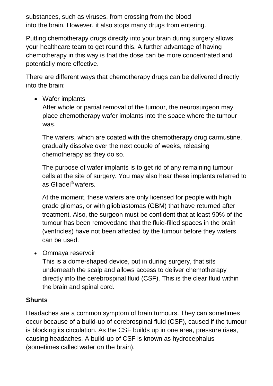substances, such as viruses, from crossing from the blood into the brain. However, it also stops many drugs from entering.

Putting chemotherapy drugs directly into your brain during surgery allows your healthcare team to get round this. A further advantage of having chemotherapy in this way is that the dose can be more concentrated and potentially more effective.

There are different ways that chemotherapy drugs can be delivered directly into the brain:

Wafer implants

After whole or partial removal of the tumour, the neurosurgeon may place chemotherapy wafer implants into the space where the tumour was.

The wafers, which are coated with the chemotherapy drug carmustine, gradually dissolve over the next couple of weeks, releasing chemotherapy as they do so.

The purpose of wafer implants is to get rid of any remaining tumour cells at the site of surgery. You may also hear these implants referred to as Gliadel® wafers.

At the moment, these wafers are only licensed for people with high grade gliomas, or with glioblastomas (GBM) that have returned after treatment. Also, the surgeon must be confident that at least 90% of the tumour has been removedand that the fluid-filled spaces in the brain (ventricles) have not been affected by the tumour before they wafers can be used.

• Ommaya reservoir

This is a dome-shaped device, put in during surgery, that sits underneath the scalp and allows access to deliver chemotherapy directly into the cerebrospinal fluid (CSF). This is the clear fluid within the brain and spinal cord.

### **Shunts**

Headaches are a common symptom of brain tumours. They can sometimes occur because of a build-up of cerebrospinal fluid (CSF), caused if the tumour is blocking its circulation. As the CSF builds up in one area, pressure rises, causing headaches. A build-up of CSF is known as hydrocephalus (sometimes called water on the brain).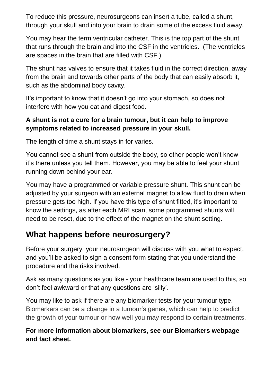To reduce this pressure, neurosurgeons can insert a tube, called a shunt, through your skull and into your brain to drain some of the excess fluid away.

You may hear the term ventricular catheter. This is the top part of the shunt that runs through the brain and into the CSF in the ventricles. (The ventricles are spaces in the brain that are filled with CSF.)

The shunt has valves to ensure that it takes fluid in the correct direction, away from the brain and towards other parts of the body that can easily absorb it, such as the abdominal body cavity.

It's important to know that it doesn't go into your stomach, so does not interfere with how you eat and digest food.

### **A shunt is not a cure for a brain tumour, but it can help to improve symptoms related to increased pressure in your skull.**

The length of time a shunt stays in for varies.

You cannot see a shunt from outside the body, so other people won't know it's there unless you tell them. However, you may be able to feel your shunt running down behind your ear.

You may have a programmed or variable pressure shunt. This shunt can be adjusted by your surgeon with an external magnet to allow fluid to drain when pressure gets too high. If you have this type of shunt fitted, it's important to know the settings, as after each MRI scan, some programmed shunts will need to be reset, due to the effect of the magnet on the shunt setting.

# **What happens before neurosurgery?**

Before your surgery, your neurosurgeon will discuss with you what to expect, and you'll be asked to sign a consent form stating that you understand the procedure and the risks involved.

Ask as many questions as you like - your healthcare team are used to this, so don't feel awkward or that any questions are 'silly'.

You may like to ask if there are any biomarker tests for your tumour type. Biomarkers can be a change in a tumour's genes, which can help to predict the growth of your tumour or how well you may respond to certain treatments.

#### **For more information about biomarkers, see our [Biomarkers](https://www.thebraintumourcharity.org/understanding-brain-tumours/getting-a-diagnosis/biomarkers/) webpage and fact sheet.**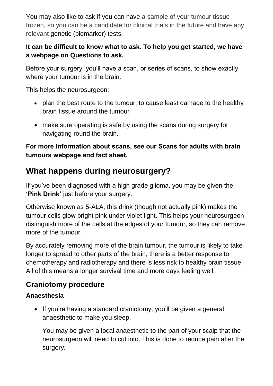You may also like to ask if you can have a sample of your tumour tissue frozen, so you can be a candidate for clinical trials in the future and have any relevant genetic (biomarker) tests.

### **It can be difficult to know what to ask. To help you get started, we have a webpage on [Questions to ask.](https://www.thebraintumourcharity.org/understanding-brain-tumours/navigating-the-system/questions-to-ask/)**

Before your surgery, you'll have a scan, or series of scans, to show exactly where your tumour is in the brain.

This helps the neurosurgeon:

- plan the best route to the tumour, to cause least damage to the healthy brain tissue around the tumour
- make sure operating is safe by using the scans during surgery for navigating round the brain.

### **For more information about scans, see our [Scans for adults with brain](https://www.thebraintumourcharity.org/understanding-brain-tumours/getting-a-diagnosis/scans-adults/)  [tumours](https://www.thebraintumourcharity.org/understanding-brain-tumours/getting-a-diagnosis/scans-adults/) webpage and fact sheet.**

# **What happens during neurosurgery?**

If you've been diagnosed with a high grade glioma, you may be given the **['Pink Drink'](https://www.thebraintumourcharity.org/get-involved/campaigning-for-change/equal-access-treatment-and-care/pink-drink-5-ala/)** just before your surgery.

Otherwise known as 5-ALA, this drink (though not actually pink) makes the tumour cells glow bright pink under violet light. This helps your neurosurgeon distinguish more of the cells at the edges of your tumour, so they can remove more of the tumour.

By accurately removing more of the [brain tumour,](https://www.thebraintumourcharity.org/understanding-brain-tumours/symptoms-and-information/what-is-a-brain-tumour/) the tumour is likely to take longer to spread to other parts of the brain, there is a better response to chemotherapy and radiotherapy and there is less risk to healthy brain tissue. All of this means a longer survival time and more days feeling well.

# **Craniotomy procedure**

### **Anaesthesia**

• If you're having a standard craniotomy, you'll be given a general anaesthetic to make you sleep.

You may be given a local anaesthetic to the part of your scalp that the neurosurgeon will need to cut into. This is done to reduce pain after the surgery.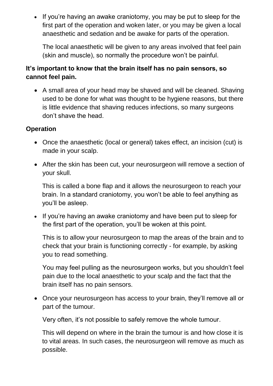• If you're having an awake craniotomy, you may be put to sleep for the first part of the operation and woken later, or you may be given a local anaesthetic and sedation and be awake for parts of the operation.

The local anaesthetic will be given to any areas involved that feel pain (skin and muscle), so normally the procedure won't be painful.

#### **It's important to know that the brain itself has no pain sensors, so cannot feel pain.**

 A small area of your head may be shaved and will be cleaned. Shaving used to be done for what was thought to be hygiene reasons, but there is little evidence that shaving reduces infections, so many surgeons don't shave the head.

#### **Operation**

- Once the anaesthetic (local or general) takes effect, an incision (cut) is made in your scalp.
- After the skin has been cut, your neurosurgeon will remove a section of your skull.

This is called a bone flap and it allows the neurosurgeon to reach your brain. In a standard craniotomy, you won't be able to feel anything as you'll be asleep.

• If you're having an awake craniotomy and have been put to sleep for the first part of the operation, you'll be woken at this point.

This is to allow your neurosurgeon to map the areas of the brain and to check that your brain is functioning correctly - for example, by asking you to read something.

You may feel pulling as the neurosurgeon works, but you shouldn't feel pain due to the local anaesthetic to your scalp and the fact that the brain itself has no pain sensors.

 Once your neurosurgeon has access to your brain, they'll remove all or part of the tumour.

Very often, it's not possible to safely remove the whole tumour.

This will depend on where in the brain the tumour is and how close it is to vital areas. In such cases, the neurosurgeon will remove as much as possible.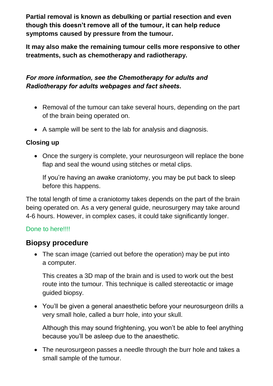**Partial removal is known as debulking or partial resection and even though this doesn't remove all of the tumour, it can help reduce symptoms caused by pressure from the tumour.** 

**It may also make the remaining tumour cells more responsive to other treatments, such as chemotherapy and radiotherapy.** 

### *For more information, see the [Chemotherapy for adults](https://www.thebraintumourcharity.org/understanding-brain-tumours/treating-brain-tumours/adult-treatments/chemotherapy/) and [Radiotherapy for adults](https://www.thebraintumourcharity.org/understanding-brain-tumours/treating-brain-tumours/adult-treatments/radiotherapy/) webpages and fact sheets***.**

- Removal of the tumour can take several hours, depending on the part of the brain being operated on.
- A sample will be sent to the lab for analysis and diagnosis.

#### **Closing up**

• Once the surgery is complete, your neurosurgeon will replace the bone flap and seal the wound using stitches or metal clips.

If you're having an awake craniotomy, you may be put back to sleep before this happens.

The total length of time a craniotomy takes depends on the part of the brain being operated on. As a very general guide, neurosurgery may take around 4-6 hours. However, in complex cases, it could take significantly longer.

#### Done to here!!!!

### **Biopsy procedure**

• The scan image (carried out before the operation) may be put into a computer.

This creates a 3D map of the brain and is used to work out the best route into the tumour. This technique is called stereotactic or image guided biopsy.

 You'll be given a general anaesthetic before your neurosurgeon drills a very small hole, called a burr hole, into your skull.

Although this may sound frightening, you won't be able to feel anything because you'll be asleep due to the anaesthetic.

• The neurosurgeon passes a needle through the burr hole and takes a small sample of the tumour.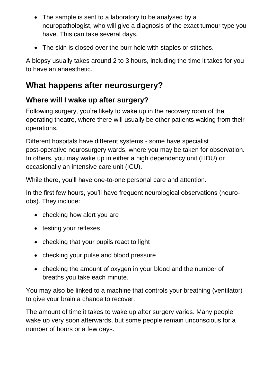- The sample is sent to a laboratory to be analysed by a neuropathologist, who will give a diagnosis of the exact tumour type you have. This can take several days.
- The skin is closed over the burr hole with staples or stitches.

A biopsy usually takes around 2 to 3 hours, including the time it takes for you to have an anaesthetic.

# **What happens after neurosurgery?**

# **Where will I wake up after surgery?**

Following surgery, you're likely to wake up in the recovery room of the operating theatre, where there will usually be other patients waking from their operations.

Different hospitals have different systems - some have specialist post-operative neurosurgery wards, where you may be taken for observation. In others, you may wake up in either a high dependency unit (HDU) or occasionally an intensive care unit (ICU).

While there, you'll have one-to-one personal care and attention.

In the first few hours, you'll have frequent neurological observations (neuroobs). They include:

- checking how alert you are
- testing your reflexes
- checking that your pupils react to light
- checking your pulse and blood pressure
- checking the amount of oxygen in your blood and the number of breaths you take each minute.

You may also be linked to a machine that controls your breathing (ventilator) to give your brain a chance to recover.

The amount of time it takes to wake up after surgery varies. Many people wake up very soon afterwards, but some people remain unconscious for a number of hours or a few days.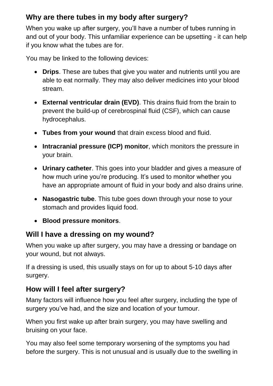### **Why are there tubes in my body after surgery?**

When you wake up after surgery, you'll have a number of tubes running in and out of your body. This unfamiliar experience can be upsetting - it can help if you know what the tubes are for.

You may be linked to the following devices:

- **Drips**. These are tubes that give you water and nutrients until you are able to eat normally. They may also deliver medicines into your blood stream.
- **External ventricular drain (EVD)**. This drains fluid from the brain to prevent the build-up of cerebrospinal fluid (CSF), which can cause hydrocephalus.
- **Tubes from your wound** that drain excess blood and fluid.
- **Intracranial pressure (ICP) monitor**, which monitors the pressure in your brain.
- **Urinary catheter**. This goes into your bladder and gives a measure of how much urine you're producing. It's used to monitor whether you have an appropriate amount of fluid in your body and also drains urine.
- **Nasogastric tube**. This tube goes down through your nose to your stomach and provides liquid food.
- **Blood pressure monitors**.

### **Will I have a dressing on my wound?**

When you wake up after surgery, you may have a dressing or bandage on your wound, but not always.

If a dressing is used, this usually stays on for up to about 5-10 days after surgery.

### **How will I feel after surgery?**

Many factors will influence how you feel after surgery, including the type of surgery you've had, and the size and location of your tumour.

When you first wake up after brain surgery, you may have swelling and bruising on your face.

You may also feel some temporary worsening of the symptoms you had before the surgery. This is not unusual and is usually due to the swelling in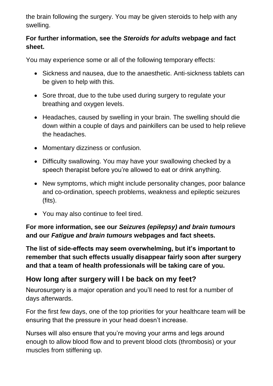the brain following the surgery. You may be given steroids to help with any swelling.

#### **For further information, see the** *[Steroids for adults](https://www.thebraintumourcharity.org/understanding-brain-tumours/treating-brain-tumours/adult-treatments/steroids/)* **webpage and fact sheet.**

You may experience some or all of the following temporary effects:

- Sickness and nausea, due to the anaesthetic. Anti-sickness tablets can be given to help with this.
- Sore throat, due to the tube used during surgery to regulate your breathing and oxygen levels.
- Headaches, caused by swelling in your brain. The swelling should die down within a couple of days and painkillers can be used to help relieve the headaches.
- Momentary dizziness or confusion.
- Difficulty swallowing. You may have your swallowing checked by a speech therapist before you're allowed to eat or drink anything.
- New symptoms, which might include personality changes, poor balance and co-ordination, speech problems, weakness and epileptic seizures (fits).
- You may also continue to feel tired.

### **For more information, see our** *[Seizures \(epilepsy\) and brain tumours](https://www.thebraintumourcharity.org/understanding-brain-tumours/living-with-a-brain-tumour/side-effects/epilepsy-seizures-and-brain-tumours/)* **and our** *[Fatigue and brain tumours](https://www.thebraintumourcharity.org/understanding-brain-tumours/living-with-a-brain-tumour/side-effects/fatigue-and-brain-tumours/)* **webpages and fact sheets.**

**The list of side-effects may seem overwhelming, but it's important to remember that such effects usually disappear fairly soon after surgery and that a team of health professionals will be taking care of you.** 

# **How long after surgery will I be back on my feet?**

Neurosurgery is a major operation and you'll need to rest for a number of days afterwards.

For the first few days, one of the top priorities for your healthcare team will be ensuring that the pressure in your head doesn't increase.

Nurses will also ensure that you're moving your arms and legs around enough to allow blood flow and to prevent blood clots (thrombosis) or your muscles from stiffening up.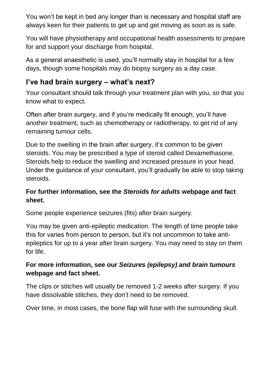You won't be kept in bed any longer than is necessary and hospital staff are always keen for their patients to get up and get moving as soon as is safe.

You will have physiotherapy and occupational health assessments to prepare for and support your discharge from hospital.

As a general anaesthetic is used, you'll normally stay in hospital for a few days, though some hospitals may do biopsy surgery as a day case.

# **I've had brain surgery – what's next?**

Your consultant should talk through your treatment plan with you, so that you know what to expect.

Often after brain surgery, and if you're medically fit enough, you'll have another treatment, such as chemotherapy or radiotherapy, to get rid of any remaining tumour cells.

Due to the swelling in the brain after surgery, it's common to be given steroids. You may be prescribed a type of steroid called Dexamethasone. Steroids help to reduce the swelling and increased pressure in your head. Under the guidance of your consultant, you'll gradually be able to stop taking steroids.

### **For further information, see the** *[Steroids for adults](https://www.thebraintumourcharity.org/understanding-brain-tumours/treating-brain-tumours/adult-treatments/steroids/)* **webpage and fact sheet.**

Some people experience seizures (fits) after brain surgery.

You may be given anti-epileptic medication. The length of time people take this for varies from person to person, but it's not uncommon to take antiepileptics for up to a year after brain surgery. You may need to stay on them for life.

### **For more information, see our** *[Seizures \(epilepsy\) and brain tumours](https://www.thebraintumourcharity.org/understanding-brain-tumours/living-with-a-brain-tumour/side-effects/epilepsy-seizures-and-brain-tumours/)* **webpage and fact sheet.**

The clips or stitches will usually be removed 1-2 weeks after surgery. If you have dissolvable stitches, they don't need to be removed.

Over time, in most cases, the bone flap will fuse with the surrounding skull.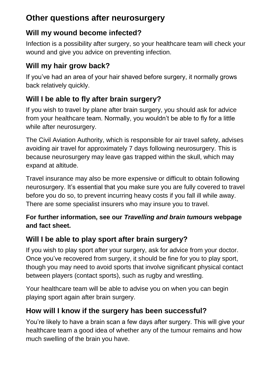# **Other questions after neurosurgery**

# **Will my wound become infected?**

Infection is a possibility after surgery, so your healthcare team will check your wound and give you advice on preventing infection.

# **Will my hair grow back?**

If you've had an area of your hair shaved before surgery, it normally grows back relatively quickly.

# **Will I be able to fly after brain surgery?**

If you wish to travel by plane after brain surgery, you should ask for advice from your healthcare team. Normally, you wouldn't be able to fly for a little while after neurosurgery.

The Civil Aviation Authority, which is responsible for air travel safety, advises avoiding air travel for approximately 7 days following neurosurgery. This is because neurosurgery may leave gas trapped within the skull, which may expand at altitude.

Travel insurance may also be more expensive or difficult to obtain following neurosurgery. It's essential that you make sure you are fully covered to travel before you do so, to prevent incurring heavy costs if you fall ill while away. There are some specialist insurers who may insure you to travel.

### **For further information, see our** *[Travelling and brain tumours](https://www.thebraintumourcharity.org/understanding-brain-tumours/living-with-a-brain-tumour/travel-and-driving/travelling-and-brain-tumours/)* **webpage and fact sheet.**

# **Will I be able to play sport after brain surgery?**

If you wish to play sport after your surgery, ask for advice from your doctor. Once you've recovered from surgery, it should be fine for you to play sport, though you may need to avoid sports that involve significant physical contact between players (contact sports), such as rugby and wrestling.

Your healthcare team will be able to advise you on when you can begin playing sport again after brain surgery.

# **How will I know if the surgery has been successful?**

You're likely to have a brain scan a few days after surgery. This will give your healthcare team a good idea of whether any of the tumour remains and how much swelling of the brain you have.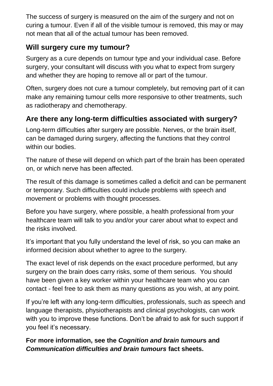The success of surgery is measured on the aim of the surgery and not on curing a tumour. Even if all of the visible tumour is removed, this may or may not mean that all of the actual tumour has been removed.

# **Will surgery cure my tumour?**

Surgery as a cure depends on tumour type and your individual case. Before surgery, your consultant will discuss with you what to expect from surgery and whether they are hoping to remove all or part of the tumour.

Often, surgery does not cure a tumour completely, but removing part of it can make any remaining tumour cells more responsive to other treatments, such as radiotherapy and chemotherapy.

# **Are there any long-term difficulties associated with surgery?**

Long-term difficulties after surgery are possible. Nerves, or the brain itself, can be damaged during surgery, affecting the functions that they control within our bodies.

The nature of these will depend on which part of the brain has been operated on, or which nerve has been affected.

The result of this damage is sometimes called a deficit and can be permanent or temporary. Such difficulties could include problems with speech and movement or problems with thought processes.

Before you have surgery, where possible, a health professional from your healthcare team will talk to you and/or your carer about what to expect and the risks involved.

It's important that you fully understand the level of risk, so you can make an informed decision about whether to agree to the surgery.

The exact level of risk depends on the exact procedure performed, but any surgery on the brain does carry risks, some of them serious. You should have been given a key worker within your healthcare team who you can contact - feel free to ask them as many questions as you wish, at any point.

If you're left with any long-term difficulties, professionals, such as speech and language therapists, physiotherapists and clinical psychologists, can work with you to improve these functions. Don't be afraid to ask for such support if you feel it's necessary.

### **For more information, see the** *[Cognition and brain tumour](https://www.thebraintumourcharity.org/understanding-brain-tumours/living-with-a-brain-tumour/side-effects/cognition-and-brain-tumours/)***s and**  *[Communication difficulties and brain tumours](https://www.thebraintumourcharity.org/understanding-brain-tumours/living-with-a-brain-tumour/side-effects/communication-difficulties/)* **fact sheets.**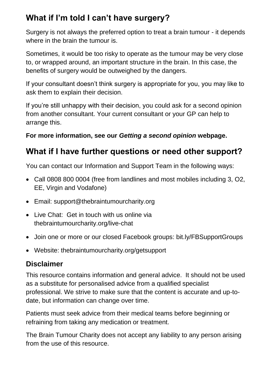# **What if I'm told I can't have surgery?**

Surgery is not always the preferred option to treat a brain tumour - it depends where in the brain the tumour is.

Sometimes, it would be too risky to operate as the tumour may be very close to, or wrapped around, an important structure in the brain. In this case, the benefits of surgery would be outweighed by the dangers.

If your consultant doesn't think surgery is appropriate for you, you may like to ask them to explain their decision.

If you're still unhappy with their decision, you could ask for a second opinion from another consultant. Your current consultant or your GP can help to arrange this.

### **For more information, see our** *[Getting a second opinion](https://www.thebraintumourcharity.org/understanding-brain-tumours/navigating-the-system/getting-a-second-opinion/)* **webpage.**

# **What if I have further questions or need other support?**

You can contact our Information and Support Team in the following ways:

- Call 0808 800 0004 (free from landlines and most mobiles including 3, O2, EE, Virgin and Vodafone)
- Email: [support@thebraintumourcharity.org](mailto:support@thebraintumourcharity.org)
- Live Chat: Get in touch with us online via thebraintumourcharity.org/live-chat
- Join one or more or our closed Facebook groups: bit.ly/FBSupportGroups
- Website: thebraintumourcharity.org/getsupport

# **Disclaimer**

This resource contains information and general advice. It should not be used as a substitute for personalised advice from a qualified specialist professional. We strive to make sure that the content is accurate and up-todate, but information can change over time.

Patients must seek advice from their medical teams before beginning or refraining from taking any medication or treatment.

The Brain Tumour Charity does not accept any liability to any person arising from the use of this resource.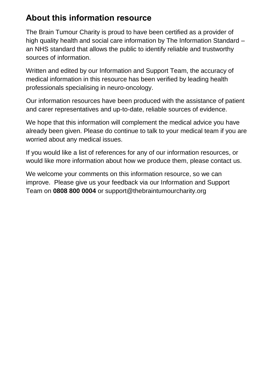# **About this information resource**

The Brain Tumour Charity is proud to have been certified as a provider of high quality health and social care information by The Information Standard – an NHS standard that allows the public to identify reliable and trustworthy sources of information.

Written and edited by our Information and Support Team, the accuracy of medical information in this resource has been verified by leading health professionals specialising in neuro-oncology.

Our information resources have been produced with the assistance of patient and carer representatives and up-to-date, reliable sources of evidence.

We hope that this information will complement the medical advice you have already been given. Please do continue to talk to your medical team if you are worried about any medical issues.

If you would like a list of references for any of our information resources, or would like more information about how we produce them, please contact us.

We welcome your comments on this information resource, so we can improve. Please give us your feedback via our Information and Support Team on **0808 800 0004** or [support@thebraintumourcharity.org](mailto:support@thebraintumourcharity.org)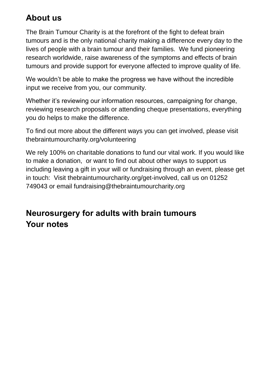# **About us**

The Brain Tumour Charity is at the forefront of the fight to defeat brain tumours and is the only national charity making a difference every day to the lives of people with a brain tumour and their families. We fund pioneering research worldwide, raise awareness of the symptoms and effects of brain tumours and provide support for everyone affected to improve quality of life.

We wouldn't be able to make the progress we have without the incredible input we receive from you, our community.

Whether it's reviewing our information resources, campaigning for change, reviewing research proposals or attending cheque presentations, everything you do helps to make the difference.

To find out more about the different ways you can get involved, please visit [thebraintumourcharity.org/volunteering](https://www.thebraintumourcharity.org/get-involved/volunteering/)

We rely 100% on charitable donations to fund our vital work. If you would like to make a donation, or want to find out about other ways to support us including leaving a gift in your will or fundraising through an event, please get in touch: Visit [thebraintumourcharity.org/get-involved,](https://www.thebraintumourcharity.org/get-involved/) call us on 01252 749043 or email [fundraising@thebraintumourcharity.org](file://///tbtc-dcex-01/Shared_Data/Shared/COLLATERAL/Information%20and%20Support/Published%20Fact%20Sheets/Clear%20print%20fact%20sheets%20(adults)/Word%20docs/fundraising@thebraintumourcharity.org)

# **Neurosurgery for adults with brain tumours Your notes**